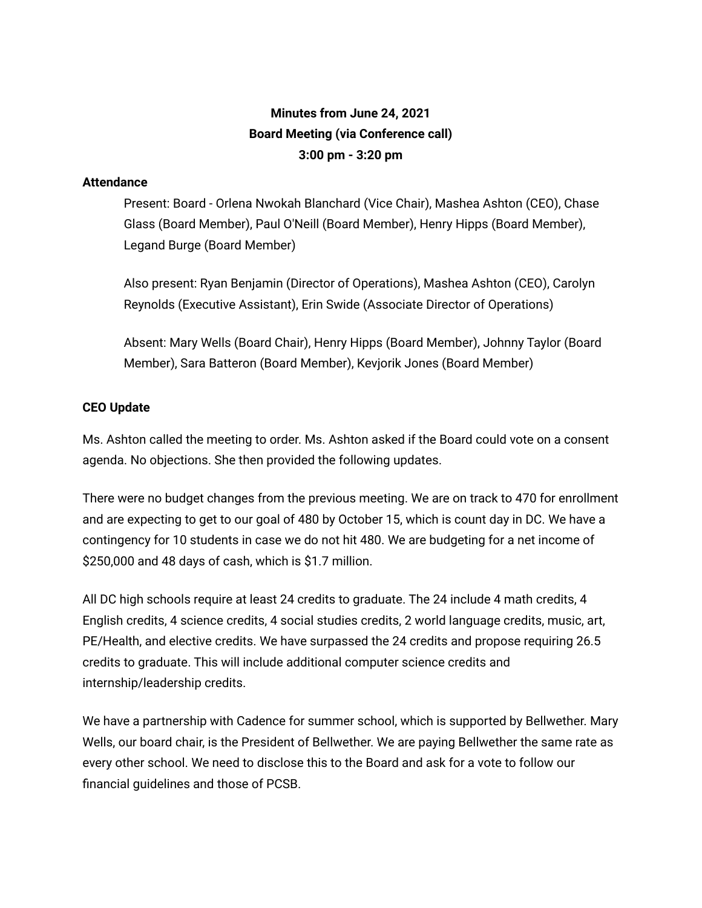## **Minutes from June 24, 2021 Board Meeting (via Conference call) 3:00 pm - 3:20 pm**

## **Attendance**

Present: Board - Orlena Nwokah Blanchard (Vice Chair), Mashea Ashton (CEO), Chase Glass (Board Member), Paul O'Neill (Board Member), Henry Hipps (Board Member), Legand Burge (Board Member)

Also present: Ryan Benjamin (Director of Operations), Mashea Ashton (CEO), Carolyn Reynolds (Executive Assistant), Erin Swide (Associate Director of Operations)

Absent: Mary Wells (Board Chair), Henry Hipps (Board Member), Johnny Taylor (Board Member), Sara Batteron (Board Member), Kevjorik Jones (Board Member)

## **CEO Update**

Ms. Ashton called the meeting to order. Ms. Ashton asked if the Board could vote on a consent agenda. No objections. She then provided the following updates.

There were no budget changes from the previous meeting. We are on track to 470 for enrollment and are expecting to get to our goal of 480 by October 15, which is count day in DC. We have a contingency for 10 students in case we do not hit 480. We are budgeting for a net income of \$250,000 and 48 days of cash, which is \$1.7 million.

All DC high schools require at least 24 credits to graduate. The 24 include 4 math credits, 4 English credits, 4 science credits, 4 social studies credits, 2 world language credits, music, art, PE/Health, and elective credits. We have surpassed the 24 credits and propose requiring 26.5 credits to graduate. This will include additional computer science credits and internship/leadership credits.

We have a partnership with Cadence for summer school, which is supported by Bellwether. Mary Wells, our board chair, is the President of Bellwether. We are paying Bellwether the same rate as every other school. We need to disclose this to the Board and ask for a vote to follow our financial guidelines and those of PCSB.